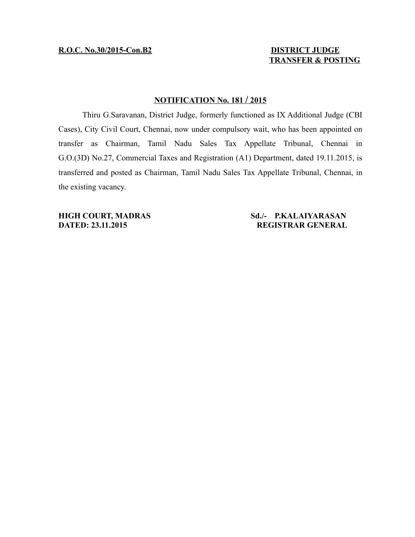# **TRANSFER & POSTING**

## **NOTIFICATION No. 181 / 2015**

Thiru G.Saravanan, District Judge, formerly functioned as IX Additional Judge (CBI Cases), City Civil Court, Chennai, now under compulsory wait, who has been appointed on transfer as Chairman, Tamil Nadu Sales Tax Appellate Tribunal, Chennai in G.O.(3D) No.27, Commercial Taxes and Registration (A1) Department, dated 19.11.2015, is transferred and posted as Chairman, Tamil Nadu Sales Tax Appellate Tribunal, Chennai, in the existing vacancy.

#### **HIGH COURT, MADRAS Sd./- P.KALAIYARASAN DATED: 23.11.2015 REGISTRAR GENERAL**